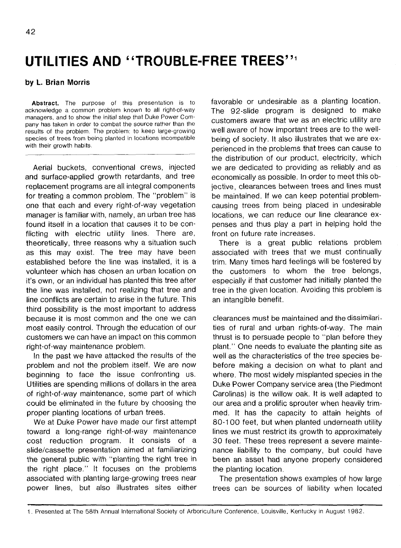## **UTILITIES AND ' 'TROUBLE-FREE TREES'**

## **by L. Brian Morris**

**Abstract.** The purpose of this presentation is to acknowledge a common problem known to all right-of-way managers, and to show the initial step that Duke Power Company has taken in order to combat the source rather than the results of the problem. The problem: to keep large-growing species of trees from being planted in locations incompatible with their growth habits.

Aerial buckets, conventional crews, injected and surface-applied growth retardants, and tree replacement programs are all integral components for treating a common problem. The "problem" is one that each and every right-of-way vegetation manager is familiar with, namely, an urban tree has found itself in a location that causes it to be conflicting with electric utility lines. There are, theoretically, three reasons why a situation such as this may exist. The tree may have been established before the line was installed, it is a volunteer which has chosen an urban location on it's own, or an individual has planted this tree after the line was installed, not realizing that tree and line conflicts are certain to arise in the future. This third possibility is the most important to address because it is most common and the one we can most easily control. Through the education of our customers we can have an impact on this common right-of-way maintenance problem.

In the past we have attacked the results of the problem and not the problem itself. We are now beginning to face the issue confronting us. Utilities are spending millions of dollars in the area of right-of-way maintenance, some part of which could be eliminated in the future by choosing the proper planting locations of urban trees.

We at Duke Power have made our first attempt toward a long-range right-of-way maintenance cost reduction program. It consists of a slide/cassette presentation aimed at familiarizing the general public with "planting the right tree in the right place." It focuses on the problems associated with planting large-growing trees near power lines, but also illustrates sites either favorable or undesirable as a planting location. The 92-slide program is designed to make customers aware that we as an electric utility are well aware of how important trees are to the wellbeing of society. It also illustrates that we are experienced in the problems that trees can cause to the distribution of our product, electricity, which we are dedicated to providing as reliably and as economically as possible. In order to meet this objective, clearances between trees and lines must be maintained. If we can keep potential problemcausing trees from being placed in undesirable locations, we can reduce our line clearance expenses and thus play a part in helping hold the front on future rate increases.

There is a great public relations problem associated with trees that we must continually trim. Many times hard feelings will be fostered by the customers to whom the tree belongs, especially if that customer had initially planted the tree in the given location. Avoiding this problem is an intangible benefit.

clearances must be maintained and the dissimilarities of rural and urban rights-of-way. The main thrust is to persuade people to "plan before they plant." One needs to evaluate the planting site as well as the characteristics of the tree species bebefore making a decision on what to plant and where. The most widely misplanted species in the Duke Power Company service area (the Piedmont Carolinas) is the willow oak. It is well adapted to our area and a prolific sprouter when heavily trimmed. It has the capacity to attain heights of 80-100 feet, but when planted underneath utility lines we must restrict its growth to approximately 30 feet. These trees represent a severe maintenance liability to the company, but could have been an asset had anyone properly considered the planting location.

The presentation shows examples of how large trees can be sources of liability when located

<sup>1.</sup> Presented at The 58th Annual International Society of Arboriculture Conference, Louisville, Kentucky in August 1982.